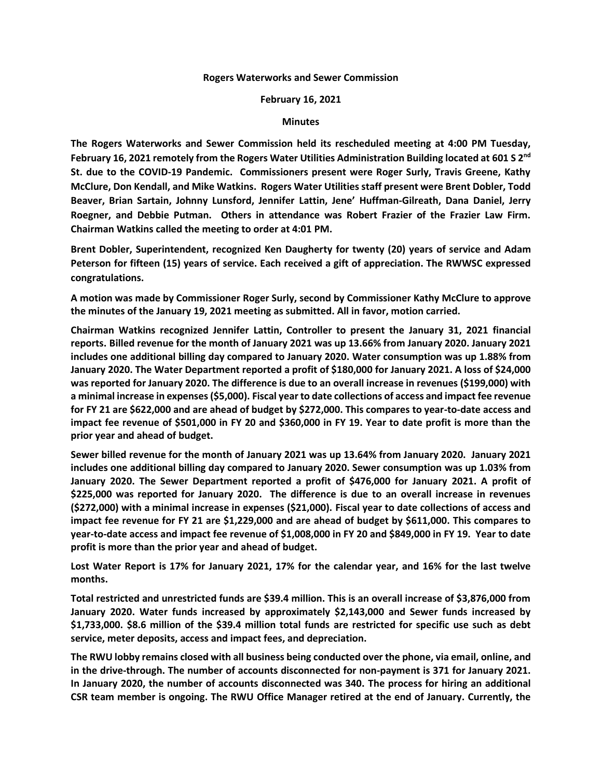## **Rogers Waterworks and Sewer Commission**

## **February 16, 2021**

## **Minutes**

**The Rogers Waterworks and Sewer Commission held its rescheduled meeting at 4:00 PM Tuesday, February 16, 2021 remotely from the Rogers Water Utilities Administration Building located at 601 S 2nd St. due to the COVID-19 Pandemic. Commissioners present were Roger Surly, Travis Greene, Kathy McClure, Don Kendall, and Mike Watkins. Rogers Water Utilities staff present were Brent Dobler, Todd Beaver, Brian Sartain, Johnny Lunsford, Jennifer Lattin, Jene' Huffman-Gilreath, Dana Daniel, Jerry Roegner, and Debbie Putman. Others in attendance was Robert Frazier of the Frazier Law Firm. Chairman Watkins called the meeting to order at 4:01 PM.**

**Brent Dobler, Superintendent, recognized Ken Daugherty for twenty (20) years of service and Adam Peterson for fifteen (15) years of service. Each received a gift of appreciation. The RWWSC expressed congratulations.** 

**A motion was made by Commissioner Roger Surly, second by Commissioner Kathy McClure to approve the minutes of the January 19, 2021 meeting as submitted. All in favor, motion carried.**

**Chairman Watkins recognized Jennifer Lattin, Controller to present the January 31, 2021 financial reports. Billed revenue for the month of January 2021 was up 13.66% from January 2020. January 2021 includes one additional billing day compared to January 2020. Water consumption was up 1.88% from January 2020. The Water Department reported a profit of \$180,000 for January 2021. A loss of \$24,000 was reported for January 2020. The difference is due to an overall increase in revenues (\$199,000) with a minimal increase in expenses (\$5,000). Fiscal year to date collections of access and impact fee revenue for FY 21 are \$622,000 and are ahead of budget by \$272,000. This compares to year-to-date access and impact fee revenue of \$501,000 in FY 20 and \$360,000 in FY 19. Year to date profit is more than the prior year and ahead of budget.** 

**Sewer billed revenue for the month of January 2021 was up 13.64% from January 2020. January 2021 includes one additional billing day compared to January 2020. Sewer consumption was up 1.03% from January 2020. The Sewer Department reported a profit of \$476,000 for January 2021. A profit of \$225,000 was reported for January 2020. The difference is due to an overall increase in revenues (\$272,000) with a minimal increase in expenses (\$21,000). Fiscal year to date collections of access and impact fee revenue for FY 21 are \$1,229,000 and are ahead of budget by \$611,000. This compares to year-to-date access and impact fee revenue of \$1,008,000 in FY 20 and \$849,000 in FY 19. Year to date profit is more than the prior year and ahead of budget.**

**Lost Water Report is 17% for January 2021, 17% for the calendar year, and 16% for the last twelve months.**

**Total restricted and unrestricted funds are \$39.4 million. This is an overall increase of \$3,876,000 from January 2020. Water funds increased by approximately \$2,143,000 and Sewer funds increased by \$1,733,000. \$8.6 million of the \$39.4 million total funds are restricted for specific use such as debt service, meter deposits, access and impact fees, and depreciation.** 

**The RWU lobby remains closed with all business being conducted over the phone, via email, online, and in the drive-through. The number of accounts disconnected for non-payment is 371 for January 2021. In January 2020, the number of accounts disconnected was 340. The process for hiring an additional CSR team member is ongoing. The RWU Office Manager retired at the end of January. Currently, the**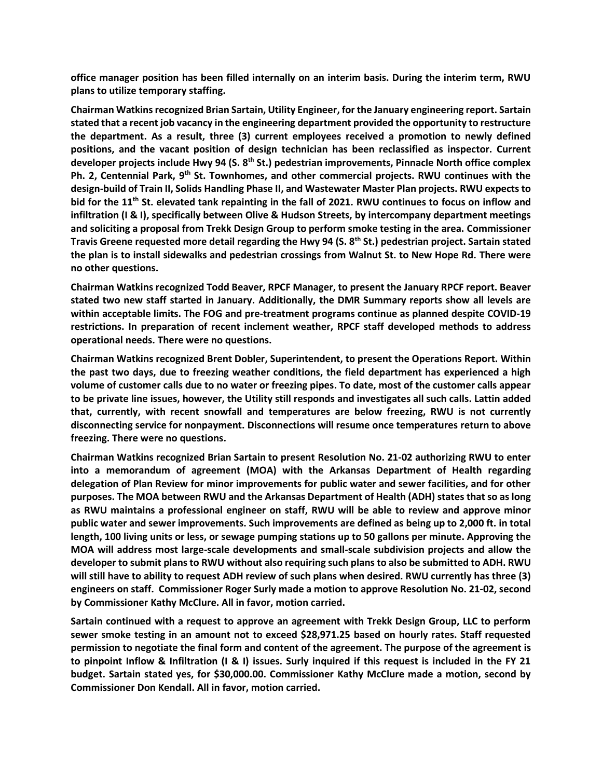**office manager position has been filled internally on an interim basis. During the interim term, RWU plans to utilize temporary staffing.**

**Chairman Watkinsrecognized Brian Sartain, Utility Engineer, for the January engineering report. Sartain stated that a recent job vacancy in the engineering department provided the opportunity to restructure the department. As a result, three (3) current employees received a promotion to newly defined positions, and the vacant position of design technician has been reclassified as inspector. Current developer projects include Hwy 94 (S. 8 th St.) pedestrian improvements, Pinnacle North office complex**  Ph. 2, Centennial Park, 9<sup>th</sup> St. Townhomes, and other commercial projects. RWU continues with the **design-build of Train II, Solids Handling Phase II, and Wastewater Master Plan projects. RWU expects to bid for the 11th St. elevated tank repainting in the fall of 2021. RWU continues to focus on inflow and infiltration (I & I), specifically between Olive & Hudson Streets, by intercompany department meetings and soliciting a proposal from Trekk Design Group to perform smoke testing in the area. Commissioner Travis Greene requested more detail regarding the Hwy 94 (S. 8th St.) pedestrian project. Sartain stated the plan is to install sidewalks and pedestrian crossings from Walnut St. to New Hope Rd. There were no other questions.** 

**Chairman Watkins recognized Todd Beaver, RPCF Manager, to present the January RPCF report. Beaver stated two new staff started in January. Additionally, the DMR Summary reports show all levels are within acceptable limits. The FOG and pre-treatment programs continue as planned despite COVID-19 restrictions. In preparation of recent inclement weather, RPCF staff developed methods to address operational needs. There were no questions.** 

**Chairman Watkins recognized Brent Dobler, Superintendent, to present the Operations Report. Within the past two days, due to freezing weather conditions, the field department has experienced a high volume of customer calls due to no water or freezing pipes. To date, most of the customer calls appear to be private line issues, however, the Utility still responds and investigates all such calls. Lattin added that, currently, with recent snowfall and temperatures are below freezing, RWU is not currently disconnecting service for nonpayment. Disconnections will resume once temperatures return to above freezing. There were no questions.** 

**Chairman Watkins recognized Brian Sartain to present Resolution No. 21-02 authorizing RWU to enter into a memorandum of agreement (MOA) with the Arkansas Department of Health regarding delegation of Plan Review for minor improvements for public water and sewer facilities, and for other purposes. The MOA between RWU and the Arkansas Department of Health (ADH) states that so aslong as RWU maintains a professional engineer on staff, RWU will be able to review and approve minor public water and sewer improvements. Such improvements are defined as being up to 2,000 ft. in total length, 100 living units or less, or sewage pumping stations up to 50 gallons per minute. Approving the MOA will address most large-scale developments and small-scale subdivision projects and allow the developer to submit plans to RWU without also requiring such plans to also be submitted to ADH. RWU will still have to ability to request ADH review of such plans when desired. RWU currently has three (3) engineers on staff. Commissioner Roger Surly made a motion to approve Resolution No. 21-02, second by Commissioner Kathy McClure. All in favor, motion carried.** 

**Sartain continued with a request to approve an agreement with Trekk Design Group, LLC to perform sewer smoke testing in an amount not to exceed \$28,971.25 based on hourly rates. Staff requested permission to negotiate the final form and content of the agreement. The purpose of the agreement is to pinpoint Inflow & Infiltration (I & I) issues. Surly inquired if this request is included in the FY 21 budget. Sartain stated yes, for \$30,000.00. Commissioner Kathy McClure made a motion, second by Commissioner Don Kendall. All in favor, motion carried.**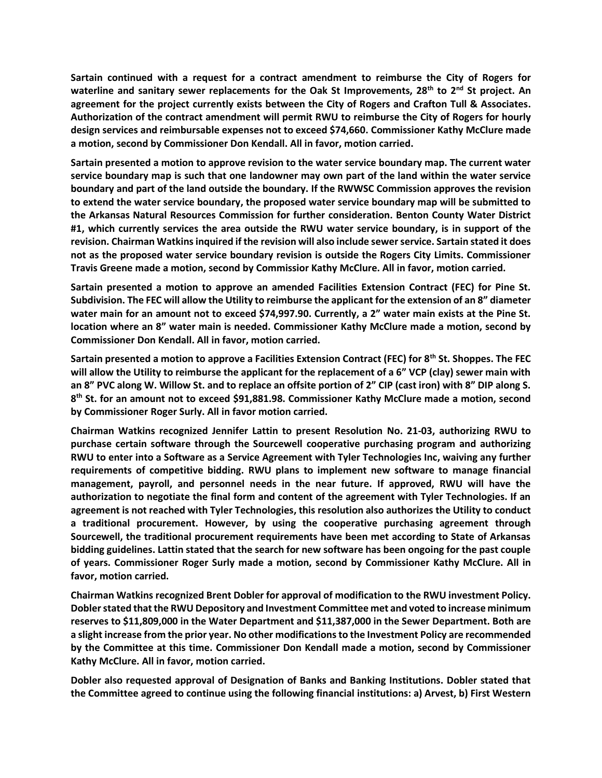**Sartain continued with a request for a contract amendment to reimburse the City of Rogers for waterline and sanitary sewer replacements for the Oak St Improvements, 28th to 2nd St project. An agreement for the project currently exists between the City of Rogers and Crafton Tull & Associates. Authorization of the contract amendment will permit RWU to reimburse the City of Rogers for hourly design services and reimbursable expenses not to exceed \$74,660. Commissioner Kathy McClure made a motion, second by Commissioner Don Kendall. All in favor, motion carried.** 

**Sartain presented a motion to approve revision to the water service boundary map. The current water service boundary map is such that one landowner may own part of the land within the water service boundary and part of the land outside the boundary. If the RWWSC Commission approves the revision to extend the water service boundary, the proposed water service boundary map will be submitted to the Arkansas Natural Resources Commission for further consideration. Benton County Water District #1, which currently services the area outside the RWU water service boundary, is in support of the revision. Chairman Watkins inquired if the revision will also include sewerservice. Sartain stated it does not as the proposed water service boundary revision is outside the Rogers City Limits. Commissioner Travis Greene made a motion, second by Commissior Kathy McClure. All in favor, motion carried.** 

**Sartain presented a motion to approve an amended Facilities Extension Contract (FEC) for Pine St. Subdivision. The FEC will allow the Utility to reimburse the applicant for the extension of an 8" diameter water main for an amount not to exceed \$74,997.90. Currently, a 2" water main exists at the Pine St. location where an 8" water main is needed. Commissioner Kathy McClure made a motion, second by Commissioner Don Kendall. All in favor, motion carried.** 

**Sartain presented a motion to approve a Facilities Extension Contract (FEC) for 8th St. Shoppes. The FEC will allow the Utility to reimburse the applicant for the replacement of a 6" VCP (clay) sewer main with an 8" PVC along W. Willow St. and to replace an offsite portion of 2" CIP (cast iron) with 8" DIP along S. 8 th St. for an amount not to exceed \$91,881.98. Commissioner Kathy McClure made a motion, second by Commissioner Roger Surly. All in favor motion carried.** 

**Chairman Watkins recognized Jennifer Lattin to present Resolution No. 21-03, authorizing RWU to purchase certain software through the Sourcewell cooperative purchasing program and authorizing RWU to enter into a Software as a Service Agreement with Tyler Technologies Inc, waiving any further requirements of competitive bidding. RWU plans to implement new software to manage financial management, payroll, and personnel needs in the near future. If approved, RWU will have the authorization to negotiate the final form and content of the agreement with Tyler Technologies. If an agreement is not reached with Tyler Technologies, this resolution also authorizes the Utility to conduct a traditional procurement. However, by using the cooperative purchasing agreement through Sourcewell, the traditional procurement requirements have been met according to State of Arkansas bidding guidelines. Lattin stated that the search for new software has been ongoing for the past couple of years. Commissioner Roger Surly made a motion, second by Commissioner Kathy McClure. All in favor, motion carried.** 

**Chairman Watkins recognized Brent Dobler for approval of modification to the RWU investment Policy. Dobler stated that the RWU Depository and Investment Committee met and voted to increase minimum reserves to \$11,809,000 in the Water Department and \$11,387,000 in the Sewer Department. Both are a slight increase from the prior year. No other modifications to the Investment Policy are recommended by the Committee at this time. Commissioner Don Kendall made a motion, second by Commissioner Kathy McClure. All in favor, motion carried.** 

**Dobler also requested approval of Designation of Banks and Banking Institutions. Dobler stated that the Committee agreed to continue using the following financial institutions: a) Arvest, b) First Western**